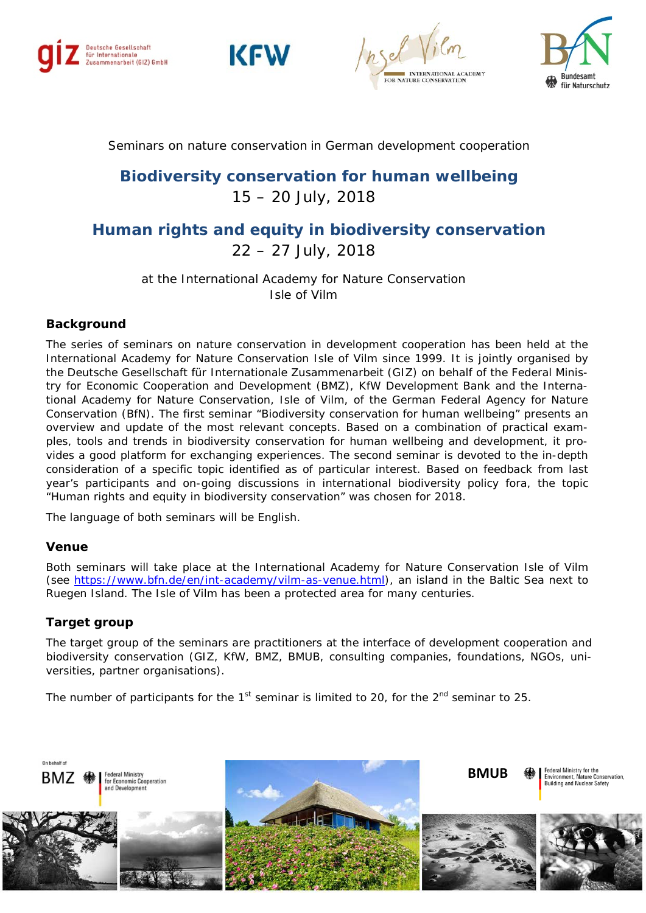







Seminars on nature conservation in German development cooperation

# **Biodiversity conservation for human wellbeing** 15 – 20 July, 2018

# **Human rights and equity in biodiversity conservation**  22 – 27 July, 2018

at the International Academy for Nature Conservation Isle of Vilm

## **Background**

The series of seminars on nature conservation in development cooperation has been held at the International Academy for Nature Conservation Isle of Vilm since 1999. It is jointly organised by the Deutsche Gesellschaft für Internationale Zusammenarbeit (GIZ) on behalf of the Federal Ministry for Economic Cooperation and Development (BMZ), KfW Development Bank and the International Academy for Nature Conservation, Isle of Vilm, of the German Federal Agency for Nature Conservation (BfN). The first seminar "Biodiversity conservation for human wellbeing" presents an overview and update of the most relevant concepts. Based on a combination of practical examples, tools and trends in biodiversity conservation for human wellbeing and development, it provides a good platform for exchanging experiences. The second seminar is devoted to the in-depth consideration of a specific topic identified as of particular interest. Based on feedback from last year's participants and on-going discussions in international biodiversity policy fora, the topic "Human rights and equity in biodiversity conservation" was chosen for 2018.

The language of both seminars will be English.

#### **Venue**

Both seminars will take place at the International Academy for Nature Conservation Isle of Vilm (see [https://www.bfn.de/en/int-academy/vilm-as-venue.html\)](https://www.bfn.de/en/int-academy/vilm-as-venue.html), an island in the Baltic Sea next to Ruegen Island. The Isle of Vilm has been a protected area for many centuries.

#### **Target group**

The target group of the seminars are practitioners at the interface of development cooperation and biodiversity conservation (GIZ, KfW, BMZ, BMUB, consulting companies, foundations, NGOs, universities, partner organisations).

The number of participants for the  $1<sup>st</sup>$  seminar is limited to 20, for the  $2<sup>nd</sup>$  seminar to 25.

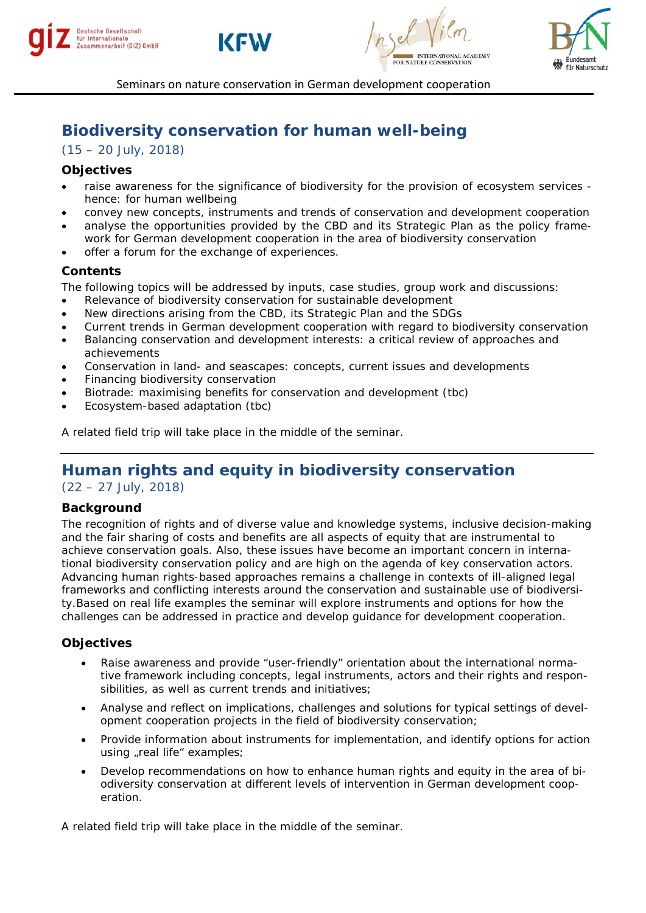







Seminars on nature conservation in German development cooperation

# **Biodiversity conservation for human well-being**

(15 – 20 July, 2018)

## **Objectives**

- raise awareness for the significance of biodiversity for the provision of ecosystem services hence: for human wellbeing
- convey new concepts, instruments and trends of conservation and development cooperation
- analyse the opportunities provided by the CBD and its Strategic Plan as the policy framework for German development cooperation in the area of biodiversity conservation
- offer a forum for the exchange of experiences.

## **Contents**

The following topics will be addressed by inputs, case studies, group work and discussions:

- Relevance of biodiversity conservation for sustainable development
- New directions arising from the CBD, its Strategic Plan and the SDGs
- Current trends in German development cooperation with regard to biodiversity conservation
- Balancing conservation and development interests: a critical review of approaches and achievements
- Conservation in land- and seascapes: concepts, current issues and developments
- Financing biodiversity conservation
- Biotrade: maximising benefits for conservation and development (tbc)
- Ecosystem-based adaptation (tbc)

A related field trip will take place in the middle of the seminar.

# **Human rights and equity in biodiversity conservation**

(22 – 27 July, 2018)

#### **Background**

The recognition of rights and of diverse value and knowledge systems, inclusive decision-making and the fair sharing of costs and benefits are all aspects of equity that are instrumental to achieve conservation goals. Also, these issues have become an important concern in international biodiversity conservation policy and are high on the agenda of key conservation actors. Advancing human rights-based approaches remains a challenge in contexts of ill-aligned legal frameworks and conflicting interests around the conservation and sustainable use of biodiversity.Based on real life examples the seminar will explore instruments and options for how the challenges can be addressed in practice and develop guidance for development cooperation.

#### **Objectives**

- Raise awareness and provide "user-friendly" orientation about the international normative framework including concepts, legal instruments, actors and their rights and responsibilities, as well as current trends and initiatives;
- Analyse and reflect on implications, challenges and solutions for typical settings of development cooperation projects in the field of biodiversity conservation;
- Provide information about instruments for implementation, and identify options for action using "real life" examples;
- Develop recommendations on how to enhance human rights and equity in the area of biodiversity conservation at different levels of intervention in German development cooperation.

A related field trip will take place in the middle of the seminar.